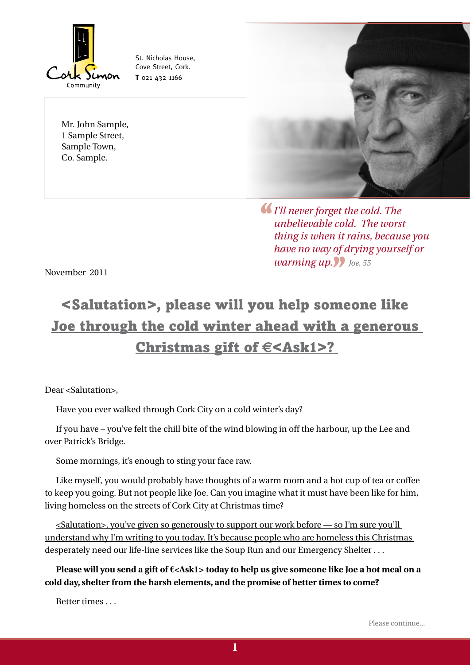

St. Nicholas House, Cove Street, Cork. **T** 021 432 1166

Mr. John Sample, 1 Sample Street, Sample Town, Co. Sample.



**''** *I'll never forget the cold. The unbelievable cold. The worst thing is when it rains, because you have no way of drying yourself or warming up.* **10** *Joe, 55* 

November 2011

# <Salutation>, please will you help someone like Joe through the cold winter ahead with a generous Christmas gift of **€**<Ask1>?

Dear <Salutation>,

Have you ever walked through Cork City on a cold winter's day?

If you have – you've felt the chill bite of the wind blowing in off the harbour, up the Lee and over Patrick's Bridge.

Some mornings, it's enough to sting your face raw.

Like myself, you would probably have thoughts of a warm room and a hot cup of tea or coffee to keep you going. But not people like Joe. Can you imagine what it must have been like for him, living homeless on the streets of Cork City at Christmas time?

<Salutation>, you've given so generously to support our work before — so I'm sure you'll understand why I'm writing to you today. It's because people who are homeless this Christmas desperately need our life-line services like the Soup Run and our Emergency Shelter . . .

**Please will you send a gift of €<Ask1> today to help us give someone like Joe a hot meal on a cold day, shelter from the harsh elements, and the promise of better times to come?**

Better times . . .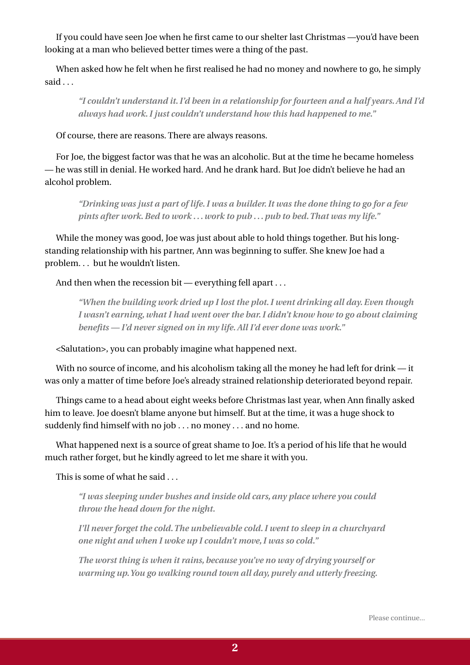If you could have seen Joe when he first came to our shelter last Christmas —you'd have been looking at a man who believed better times were a thing of the past.

When asked how he felt when he first realised he had no money and nowhere to go, he simply said . . .

*"I couldn't understand it. I'd been in a relationship for fourteen and a half years. And I'd always had work. I just couldn't understand how this had happened to me."*

Of course, there are reasons. There are always reasons.

For Joe, the biggest factor was that he was an alcoholic. But at the time he became homeless — he was still in denial. He worked hard. And he drank hard. But Joe didn't believe he had an alcohol problem.

*"Drinking was just a part of life. I was a builder. It was the done thing to go for a few pints after work. Bed to work . . . work to pub . . . pub to bed. That was my life."*

While the money was good, Joe was just about able to hold things together. But his longstanding relationship with his partner, Ann was beginning to suffer. She knew Joe had a problem. . . but he wouldn't listen.

And then when the recession bit — everything fell apart . . .

*"When the building work dried up I lost the plot. I went drinking all day. Even though I wasn't earning, what I had went over the bar. I didn't know how to go about claiming benefits — I'd never signed on in my life. All I'd ever done was work."*

<Salutation>, you can probably imagine what happened next.

With no source of income, and his alcoholism taking all the money he had left for drink — it was only a matter of time before Joe's already strained relationship deteriorated beyond repair.

Things came to a head about eight weeks before Christmas last year, when Ann finally asked him to leave. Joe doesn't blame anyone but himself. But at the time, it was a huge shock to suddenly find himself with no job . . . no money . . . and no home.

What happened next is a source of great shame to Joe. It's a period of his life that he would much rather forget, but he kindly agreed to let me share it with you.

This is some of what he said . . .

*"I was sleeping under bushes and inside old cars, any place where you could throw the head down for the night.* 

*I'll never forget the cold. The unbelievable cold. I went to sleep in a churchyard one night and when I woke up I couldn't move, I was so cold."*

*The worst thing is when it rains, because you've no way of drying yourself or warming up. You go walking round town all day, purely and utterly freezing.*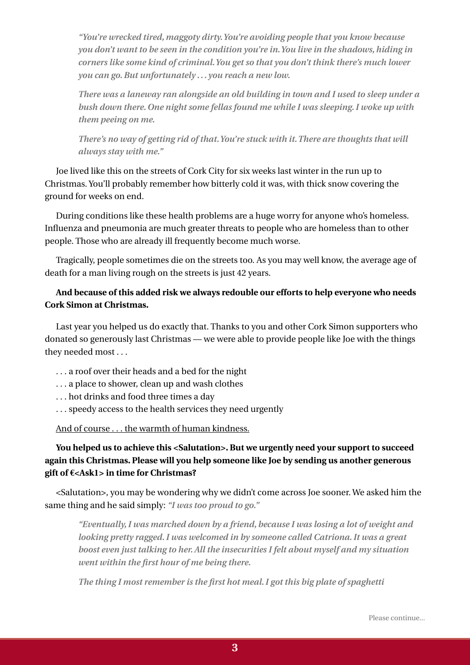*"You're wrecked tired, maggoty dirty. You're avoiding people that you know because you don't want to be seen in the condition you're in. You live in the shadows, hiding in corners like some kind of criminal. You get so that you don't think there's much lower you can go. But unfortunately . . . you reach a new low.* 

*There was a laneway ran alongside an old building in town and I used to sleep under a bush down there. One night some fellas found me while I was sleeping. I woke up with them peeing on me.* 

*There's no way of getting rid of that. You're stuck with it. There are thoughts that will always stay with me."*

Joe lived like this on the streets of Cork City for six weeks last winter in the run up to Christmas. You'll probably remember how bitterly cold it was, with thick snow covering the ground for weeks on end.

During conditions like these health problems are a huge worry for anyone who's homeless. Influenza and pneumonia are much greater threats to people who are homeless than to other people. Those who are already ill frequently become much worse.

Tragically, people sometimes die on the streets too. As you may well know, the average age of death for a man living rough on the streets is just 42 years.

### **And because of this added risk we always redouble our efforts to help everyone who needs Cork Simon at Christmas.**

Last year you helped us do exactly that. Thanks to you and other Cork Simon supporters who donated so generously last Christmas — we were able to provide people like Joe with the things they needed most . . .

- . . . a roof over their heads and a bed for the night
- . . . a place to shower, clean up and wash clothes
- . . . hot drinks and food three times a day
- . . . speedy access to the health services they need urgently

And of course . . . the warmth of human kindness.

## **You helped us to achieve this <Salutation>. But we urgently need your support to succeed again this Christmas. Please will you help someone like Joe by sending us another generous gift of €<Ask1> in time for Christmas?**

<Salutation>, you may be wondering why we didn't come across Joe sooner. We asked him the same thing and he said simply: *"I was too proud to go."*

*"Eventually, I was marched down by a friend, because I was losing a lot of weight and looking pretty ragged. I was welcomed in by someone called Catriona. It was a great boost even just talking to her. All the insecurities I felt about myself and my situation went within the first hour of me being there.*

*The thing I most remember is the first hot meal. I got this big plate of spaghetti*